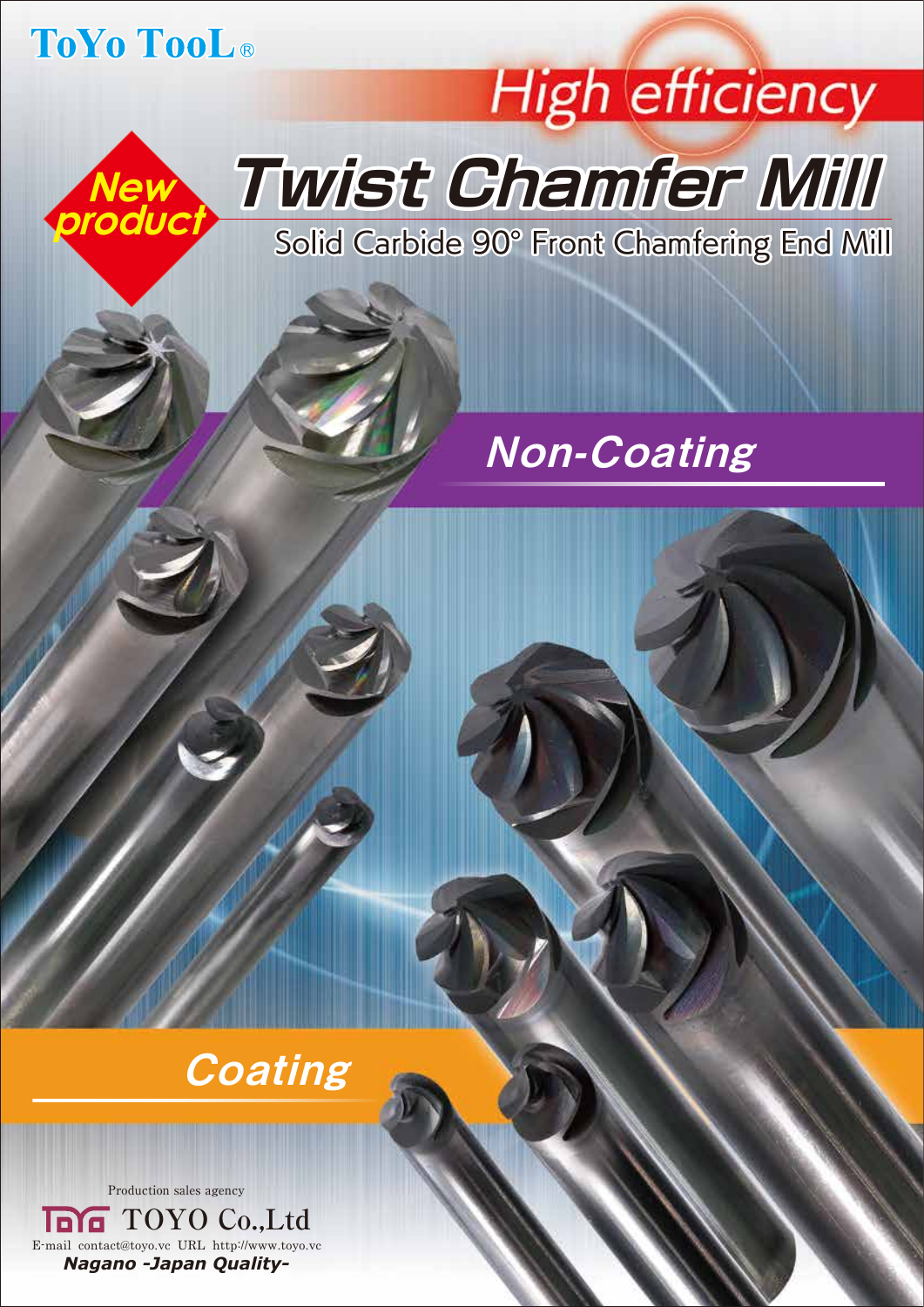## ToYo TooL<sup>®</sup>

**New** 

**product**

## **High efficiency Twist Chamfer Mill**

Solid Carbide 90° Front Chamfering End Mill

## Non-Coating

## **Coating**

Production sales agency

E-mail contact@toyo.vc URL http://www.toyo.vc *Nagano -Japan Quality-***TOYO Co.,Ltd**